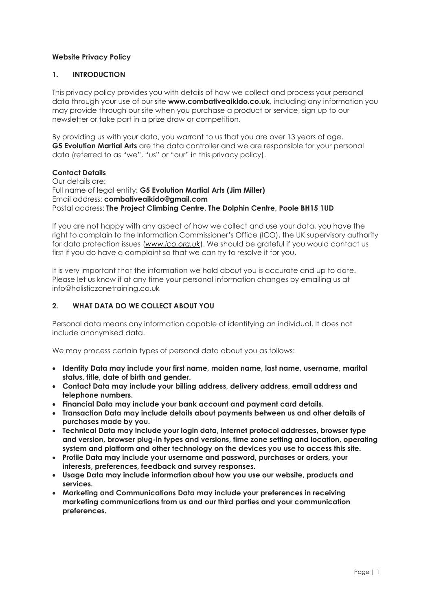### Website Privacy Policy

### 1. INTRODUCTION

This privacy policy provides you with details of how we collect and process your personal data through your use of our site www.combativeaikido.co.uk, including any information you may provide through our site when you purchase a product or service, sign up to our newsletter or take part in a prize draw or competition.

By providing us with your data, you warrant to us that you are over 13 years of age. G5 Evolution Martial Arts are the data controller and we are responsible for your personal data (referred to as "we", "us" or "our" in this privacy policy).

#### Contact Details

Our details are: Full name of legal entity: G5 Evolution Martial Arts (Jim Miller) Email address: combativeaikido@gmail.com Postal address: The Project Climbing Centre, The Dolphin Centre, Poole BH15 1UD

If you are not happy with any aspect of how we collect and use your data, you have the right to complain to the Information Commissioner's Office (ICO), the UK supervisory authority for data protection issues (www.ico.org.uk). We should be arateful if you would contact us first if you do have a complaint so that we can try to resolve it for you.

It is very important that the information we hold about you is accurate and up to date. Please let us know if at any time your personal information changes by emailing us at info@holisticzonetraining.co.uk

### 2. WHAT DATA DO WE COLLECT ABOUT YOU

Personal data means any information capable of identifying an individual. It does not include anonymised data.

We may process certain types of personal data about you as follows:

- Identity Data may include your first name, maiden name, last name, username, marital status, title, date of birth and gender.
- Contact Data may include your billing address, delivery address, email address and telephone numbers.
- Financial Data may include your bank account and payment card details.
- Transaction Data may include details about payments between us and other details of purchases made by you.
- Technical Data may include your login data, internet protocol addresses, browser type and version, browser plug-in types and versions, time zone setting and location, operating system and platform and other technology on the devices you use to access this site.
- Profile Data may include your username and password, purchases or orders, your interests, preferences, feedback and survey responses.
- Usage Data may include information about how you use our website, products and services.
- Marketing and Communications Data may include your preferences in receiving marketing communications from us and our third parties and your communication preferences.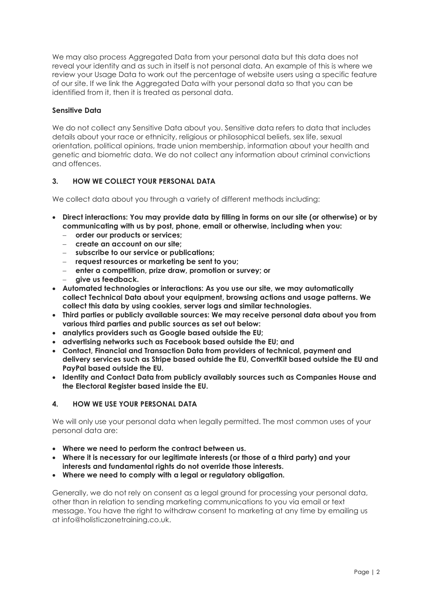We may also process Aggregated Data from your personal data but this data does not reveal your identity and as such in itself is not personal data. An example of this is where we review your Usage Data to work out the percentage of website users using a specific feature of our site. If we link the Aggregated Data with your personal data so that you can be identified from it, then it is treated as personal data.

### Sensitive Data

We do not collect any Sensitive Data about you. Sensitive data refers to data that includes details about your race or ethnicity, religious or philosophical beliefs, sex life, sexual orientation, political opinions, trade union membership, information about your health and genetic and biometric data. We do not collect any information about criminal convictions and offences.

### 3. HOW WE COLLECT YOUR PERSONAL DATA

We collect data about you through a variety of different methods including:

- Direct interactions: You may provide data by filling in forms on our site (or otherwise) or by communicating with us by post, phone, email or otherwise, including when you:
	- order our products or services:
	- create an account on our site;
	- subscribe to our service or publications;
	- request resources or marketing be sent to you;
	- enter a competition, prize draw, promotion or survey; or
	- give us feedback.
- Automated technologies or interactions: As you use our site, we may automatically collect Technical Data about your equipment, browsing actions and usage patterns. We collect this data by using cookies, server logs and similar technologies.
- Third parties or publicly available sources: We may receive personal data about you from various third parties and public sources as set out below:
- analytics providers such as Google based outside the EU;
- advertising networks such as Facebook based outside the EU; and
- Contact, Financial and Transaction Data from providers of technical, payment and delivery services such as Stripe based outside the EU, ConvertKit based outside the EU and PayPal based outside the EU.
- Identity and Contact Data from publicly availably sources such as Companies House and the Electoral Register based inside the EU.

#### 4. HOW WE USE YOUR PERSONAL DATA

We will only use your personal data when legally permitted. The most common uses of your personal data are:

- Where we need to perform the contract between us.
- Where it is necessary for our legitimate interests (or those of a third party) and your interests and fundamental rights do not override those interests.
- Where we need to comply with a legal or regulatory obligation.

Generally, we do not rely on consent as a legal ground for processing your personal data, other than in relation to sending marketing communications to you via email or text message. You have the right to withdraw consent to marketing at any time by emailing us at info@holisticzonetraining.co.uk.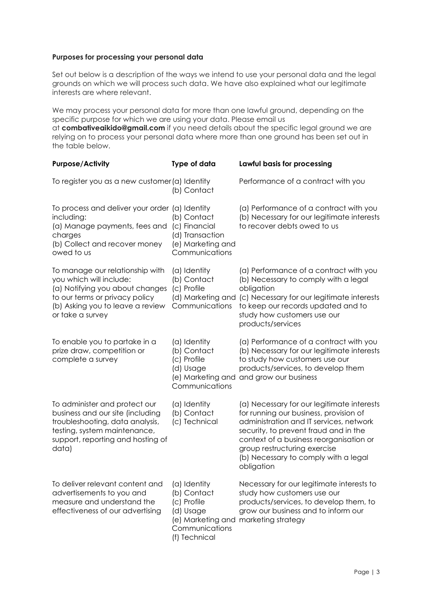#### Purposes for processing your personal data

Set out below is a description of the ways we intend to use your personal data and the legal grounds on which we will process such data. We have also explained what our legitimate interests are where relevant.

We may process your personal data for more than one lawful ground, depending on the specific purpose for which we are using your data. Please email us

at combativeaikido@gmail.com if you need details about the specific legal ground we are relying on to process your personal data where more than one ground has been set out in the table below.

| <b>Purpose/Activity</b>                                                                                                                                                                 | Type of data                                                                               | Lawful basis for processing                                                                                                                                                                                                                                                                               |
|-----------------------------------------------------------------------------------------------------------------------------------------------------------------------------------------|--------------------------------------------------------------------------------------------|-----------------------------------------------------------------------------------------------------------------------------------------------------------------------------------------------------------------------------------------------------------------------------------------------------------|
| To register you as a new customer (a) Identity                                                                                                                                          | (b) Contact                                                                                | Performance of a contract with you                                                                                                                                                                                                                                                                        |
| To process and deliver your order (a) Identity<br>including:<br>(a) Manage payments, fees and<br>charges<br>(b) Collect and recover money<br>owed to us                                 | (b) Contact<br>(c) Financial<br>(d) Transaction<br>(e) Marketing and<br>Communications     | (a) Performance of a contract with you<br>(b) Necessary for our legitimate interests<br>to recover debts owed to us                                                                                                                                                                                       |
| To manage our relationship with<br>you which will include:<br>(a) Notifying you about changes<br>to our terms or privacy policy<br>(b) Asking you to leave a review<br>or take a survey | (a) Identity<br>(b) Contact<br>(c) Profile<br>(d) Marketing and<br>Communications          | (a) Performance of a contract with you<br>(b) Necessary to comply with a legal<br>obligation<br>(c) Necessary for our legitimate interests<br>to keep our records updated and to<br>study how customers use our<br>products/services                                                                      |
| To enable you to partake in a<br>prize draw, competition or<br>complete a survey                                                                                                        | (a) Identity<br>(b) Contact<br>(c) Profile<br>(d) Usage<br>Communications                  | (a) Performance of a contract with you<br>(b) Necessary for our legitimate interests<br>to study how customers use our<br>products/services, to develop them<br>(e) Marketing and and grow our business                                                                                                   |
| To administer and protect our<br>business and our site (including<br>troubleshooting, data analysis,<br>testing, system maintenance,<br>support, reporting and hosting of<br>data)      | (a) Identity<br>(b) Contact<br>(c) Technical                                               | (a) Necessary for our legitimate interests<br>for running our business, provision of<br>administration and IT services, network<br>security, to prevent fraud and in the<br>context of a business reorganisation or<br>group restructuring exercise<br>(b) Necessary to comply with a legal<br>obligation |
| To deliver relevant content and<br>advertisements to you and<br>measure and understand the<br>effectiveness of our advertising                                                          | (a) Identity<br>(b) Contact<br>(c) Profile<br>(d) Usage<br>Communications<br>(f) Technical | Necessary for our legitimate interests to<br>study how customers use our<br>products/services, to develop them, to<br>grow our business and to inform our<br>(e) Marketing and marketing strategy                                                                                                         |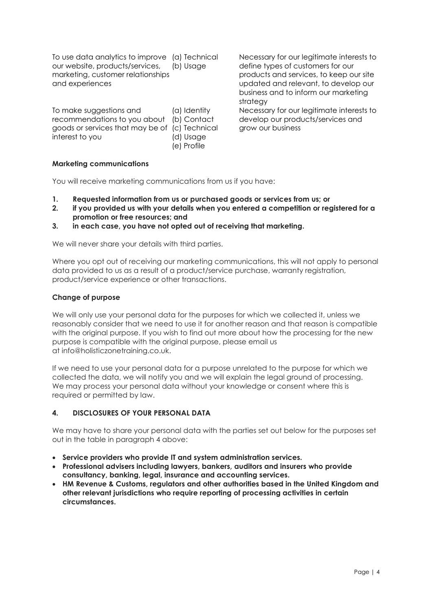To use data analytics to improve (a) Technical our website, products/services, marketing, customer relationships and experiences (b) Usage

To make suggestions and recommendations to you about goods or services that may be of (c) Technical interest to you (a) Identity (b) Contact (d) Usage (e) Profile

Necessary for our legitimate interests to define types of customers for our products and services, to keep our site updated and relevant, to develop our business and to inform our marketing strategy

Necessary for our legitimate interests to develop our products/services and grow our business

## Marketing communications

You will receive marketing communications from us if you have:

- 1. Requested information from us or purchased goods or services from us; or
- 2. if you provided us with your details when you entered a competition or registered for a promotion or free resources; and
- 3. in each case, you have not opted out of receiving that marketing.

We will never share your details with third parties.

Where you opt out of receiving our marketing communications, this will not apply to personal data provided to us as a result of a product/service purchase, warranty registration, product/service experience or other transactions.

#### Change of purpose

We will only use your personal data for the purposes for which we collected it, unless we reasonably consider that we need to use it for another reason and that reason is compatible with the original purpose. If you wish to find out more about how the processing for the new purpose is compatible with the original purpose, please email us at info@holisticzonetraining.co.uk.

If we need to use your personal data for a purpose unrelated to the purpose for which we collected the data, we will notify you and we will explain the legal ground of processing. We may process your personal data without your knowledge or consent where this is required or permitted by law.

#### 4. DISCLOSURES OF YOUR PERSONAL DATA

We may have to share your personal data with the parties set out below for the purposes set out in the table in paragraph 4 above:

- Service providers who provide IT and system administration services.
- Professional advisers including lawyers, bankers, auditors and insurers who provide consultancy, banking, legal, insurance and accounting services.
- HM Revenue & Customs, regulators and other authorities based in the United Kingdom and other relevant jurisdictions who require reporting of processing activities in certain circumstances.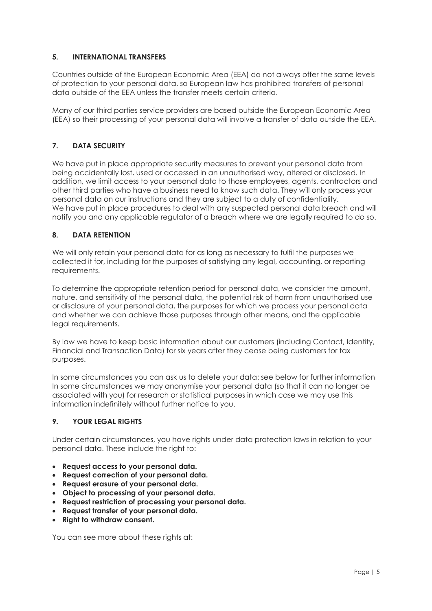## 5. INTERNATIONAL TRANSFERS

Countries outside of the European Economic Area (EEA) do not always offer the same levels of protection to your personal data, so European law has prohibited transfers of personal data outside of the EEA unless the transfer meets certain criteria.

Many of our third parties service providers are based outside the European Economic Area (EEA) so their processing of your personal data will involve a transfer of data outside the EEA.

# 7. DATA SECURITY

We have put in place appropriate security measures to prevent your personal data from being accidentally lost, used or accessed in an unauthorised way, altered or disclosed. In addition, we limit access to your personal data to those employees, agents, contractors and other third parties who have a business need to know such data. They will only process your personal data on our instructions and they are subject to a duty of confidentiality. We have put in place procedures to deal with any suspected personal data breach and will notify you and any applicable regulator of a breach where we are legally required to do so.

## 8. DATA RETENTION

We will only retain your personal data for as long as necessary to fulfil the purposes we collected it for, including for the purposes of satisfying any legal, accounting, or reporting requirements.

To determine the appropriate retention period for personal data, we consider the amount, nature, and sensitivity of the personal data, the potential risk of harm from unauthorised use or disclosure of your personal data, the purposes for which we process your personal data and whether we can achieve those purposes through other means, and the applicable legal requirements.

By law we have to keep basic information about our customers (including Contact, Identity, Financial and Transaction Data) for six years after they cease being customers for tax purposes.

In some circumstances you can ask us to delete your data: see below for further information In some circumstances we may anonymise your personal data (so that it can no longer be associated with you) for research or statistical purposes in which case we may use this information indefinitely without further notice to you.

## 9. YOUR LEGAL RIGHTS

Under certain circumstances, you have rights under data protection laws in relation to your personal data. These include the right to:

- Request access to your personal data.
- Request correction of your personal data.
- Request erasure of your personal data.
- Object to processing of your personal data.
- Request restriction of processing your personal data.
- Request transfer of your personal data.
- Right to withdraw consent.

You can see more about these rights at: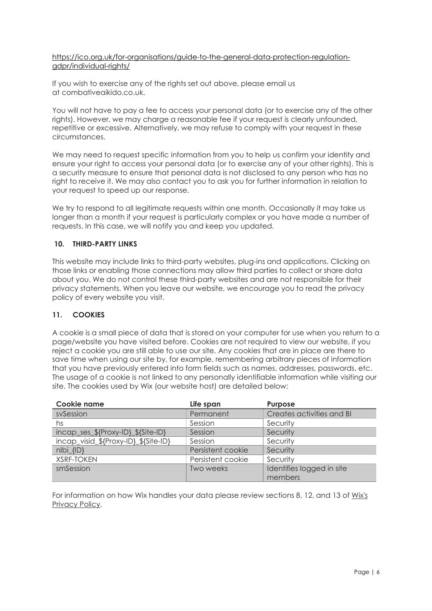#### https://ico.org.uk/for-organisations/guide-to-the-general-data-protection-regulationgdpr/individual-rights/

If you wish to exercise any of the rights set out above, please email us at combativeaikido.co.uk.

You will not have to pay a fee to access your personal data (or to exercise any of the other rights). However, we may charge a reasonable fee if your request is clearly unfounded, repetitive or excessive. Alternatively, we may refuse to comply with your request in these circumstances.

We may need to request specific information from you to help us confirm your identity and ensure your right to access your personal data (or to exercise any of your other rights). This is a security measure to ensure that personal data is not disclosed to any person who has no right to receive it. We may also contact you to ask you for further information in relation to your request to speed up our response.

We try to respond to all legitimate requests within one month. Occasionally it may take us longer than a month if your request is particularly complex or you have made a number of requests. In this case, we will notify you and keep you updated.

## 10. THIRD-PARTY LINKS

This website may include links to third-party websites, plug-ins and applications. Clicking on those links or enabling those connections may allow third parties to collect or share data about you. We do not control these third-party websites and are not responsible for their privacy statements. When you leave our website, we encourage you to read the privacy policy of every website you visit.

#### 11. COOKIES

A cookie is a small piece of data that is stored on your computer for use when you return to a page/website you have visited before. Cookies are not required to view our website, if you reject a cookie you are still able to use our site. Any cookies that are in place are there to save time when using our site by, for example, remembering arbitrary pieces of information that you have previously entered into form fields such as names, addresses, passwords, etc. The usage of a cookie is not linked to any personally identifiable information while visiting our site. The cookies used by Wix (our website host) are detailed below:

| Cookie name                          | Life span         | <b>Purpose</b>                       |
|--------------------------------------|-------------------|--------------------------------------|
| svSession                            | Permanent         | Creates activities and BI            |
| hs                                   | Session           | Security                             |
| incap_ses_\${Proxy-ID}_\${Site-ID}   | Session           | Security                             |
| incap_visid_\${Proxy-ID}_\${Site-ID} | Session           | Security                             |
| $nIbi_{IID}$                         | Persistent cookie | Security                             |
| <b>XSRF-TOKEN</b>                    | Persistent cookie | Security                             |
| smSession                            | Two weeks         | Identifies logged in site<br>members |

For information on how Wix handles your data please review sections 8, 12, and 13 of Wix's Privacy Policy.